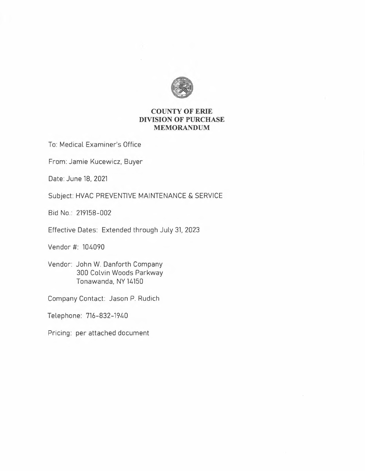

# **COUNTY OF ERIE DIVISION OF PURCHASE MEMORANDUM**

To: Medical Examiner's Office

From: Jamie Kucewicz, Buyer

Date: June 18, 2021

Subject: HVAC PREVENTIVE MAINTENANCE & SERVICE

Bid No.: 219158-002

Effective Dates: Extended through July 31, 2023

Vendor#: 104090

Vendor: John W. Danforth Company 300 Colvin Woods Parkway Tonawanda, NY 14150

Company Contact: Jason P. Rudich

Telephone: 716-832-1940

Pricing: per attached document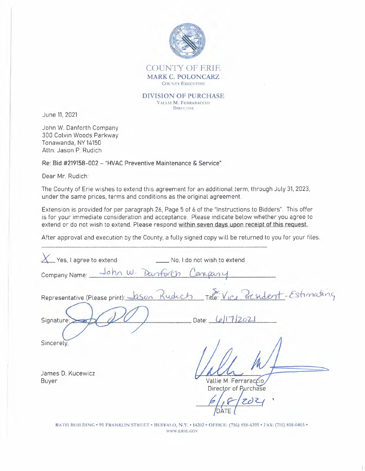

**DIVISION OF PURCHASE** VALLIE M. FERRARACCIO **DIRECTOR** 

June 11, 2021

John W. Danforth Company 300 Colvin Woods Parkway Tonawanda, NY 14150 Attn: Jason P. Rudich

Re: Bid #219158-002 - "HVAC Preventive Maintenance & Service"

Dear Mr. Rudich:

The County of Erie wishes to extend this agreement for an additional term, through July 31, 2023, under the same prices, terms and conditions as the original agreement.

Extension is provided for per paragraph 26, Page 5 of 6 of the "Instructions to Bidders". This offer is for your immediate consideration and acceptance. Please indicate below whether you agree to extend or do not wish to extend. Please respond within seven days upon receipt of this request.

After approval and execution by the County, a fully signed copy will be returned to you for your files.

| _Yes, I agree to extend        | No, I do not wish to extend                                                  |
|--------------------------------|------------------------------------------------------------------------------|
| Company Name: John W. Danforth |                                                                              |
|                                | Representative (Please print): Jason Rudich Title: Vice President-Estimating |
| Signature:                     | 17/202<br>Date:                                                              |
| Sincerely,                     |                                                                              |
| James D. Kucewicz<br>Buyer     | Vallie M. Ferraraccio<br>Director of Purchase<br>DATE                        |

RATH BUILDING . 95 FRANKLIN STREET . BUFFALO, N.Y. . 14202 . OFFICE: (716) 858-6395 . FAX: (716) 858-6465 . WWW.ERIE.GOV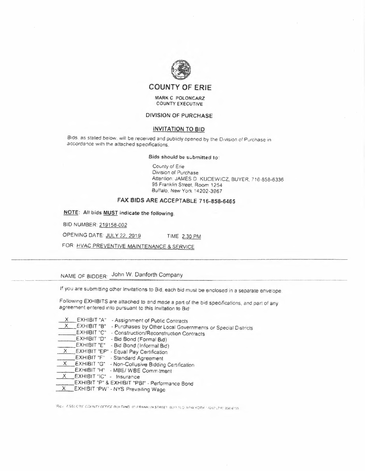

### **MARK C POLONCARZ COUNTY EXECUTIVE**

### **DIVISION OF PURCHASE**

### **INVITATION TO BIO**

Bids. as stated below, will be received and publicly opened by the Division of Purchase in accordance with the attached specifications.

### **Bids should be submitted to:**

County of Erie Division of Purchase Attention: JAMES D. KUCEWICZ, BUYER, 716-858-6336 95 Franklin Street. Room 1254 Buffalo, New York 14202-3967

## **FAX BIOS ARE ACCEPTABLE 716-858-6465**

**NOTE: All bids MUST indicate the following.** 

BID NUMBER: 219158-002

OPENING DATE. JUL Y *22* 2019 TIME 2:30 PM

FOR- HVAC PREVENTIVE MAINTENANCE & SERVICE

# NAME OF BIDDER: John W. Danforth Company NAME OF BIDDER: John W. Danforth Company

If you are submitting other Invitations to Bid, each bid must be enclosed in a separate envelope

Followmg EXHIBITS *are* attached to and made a part of the bid specifications, and part of any agreement entered into pursuant to this Invitation to Bid-

- $\frac{X}{X}$  EXHIBIT "A" Assignment of Public Contracts<br> $\overline{X}$  EXHIBIT "B" Purchases by Other Local Gove
- EXHIBIT "B" Purchases by Other Local Governments or Special Districts
- EXHIBIT "C" Construction/Reconstruction Contracts<br>
EXHIBIT "D" Bid Bond (Formal Bid)
- 
- EXHIBIT "E" Bid Bond (Informal 81d)
- \_X \_\_ EXHIBIT "EP" Equal Pay Certification
- EXHIBIT "F" Standard Agreement
- EXHIBIT "G" Non-Collusive Bidding Certification
- EXHIBIT "H" MBE/ WBE Commitment
- EXHIBIT "IC" Insurance
- EXHIBIT "P" & EXHIBIT "PBI" Performance Bond
- X EXHIBIT "PW" NYS Prevailing Wage

"Rov. 7,95) cree county office building in Franklin STREET bulls N.G. NEW YORK 14202 (716) 898-6105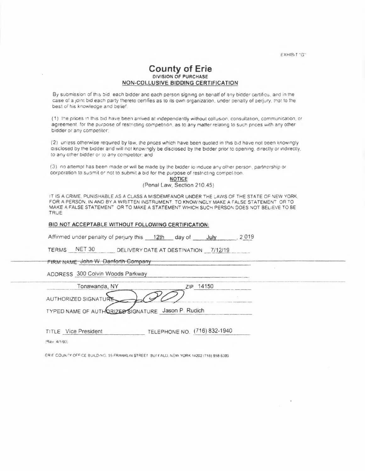EXHIB,T "G"

## **County of Erie DIVISION OF PURCHASE NON-COLLUSIVE BIDDING CERTIFICATION**

By submission of this bid each bidder and each person signing on benalf of any bidder certifies, and in the case of a joint bid each party thereto certifies as to its own organization, under penalty of perjury, that to the best oí his knowledge and belief.

(1) the prices in this bid have been arrived at independently without collusion, consultation, communication, or agreement, for the purpose of restricting competition, as to any matter relating to such prices with any other bidder or any competitor:

(2) unless otherwise required *by* law, the prices which have been quoted in thrs b,d have not been knowingly disclosed by the bidder and will not knowingly be disclosed by the bidder prior to opening, directly or indirectly, to any other bidder or to any competitor; and

(3) no attempt has been made or w,11 be made by the bidder to induce any other persoo partnership *or*  corporation to submit or not to submit a bid for the purpose of restricting competition.

**NOTICE**  (Penal Law, Section 210.45)

IT IS A CRIME. PUNISHABLE AS A CLASS A MISDEMEANOR UNDER THE LAWS OF THE STATE OF NEW YORK. *FOR* A PERSON, IN AND BY A WRITTEN INSTRUMENT. TO KNOWINGLY MAKE A FALSE STATEMENT OR TO MAKE A FALSE STATEMENT OR TO MAKE A STATEMENT WHICH SUCH PERSON DOES NOT BELIEVE TO BE TRUE

### **BID NOT ACCEPTABLE WITHOUT FOLLOWING CERTIFICATION:**

Affirmed under penalty of perjury this  $\frac{12}{t}$  day of July [2019]

TERMS NET 30 DELIVERY DATE AT DESTINATION 7/12/19

**FIRM NAME John W. Danforth Company** 

ADDRESS 300 Colvin Woods Parkway

| Tonawanda, NY                                    |  |
|--------------------------------------------------|--|
| <b>AUTHORIZED SIGNATU</b>                        |  |
| TYPER HALLE OF AUTURISTIC MILLINUSE 19800 Pudich |  |

TYPED NAME OF AUTHORIZED SIGNATURE Jason P. Rudich

| <b>TITLE</b> Vice President | TELEPHONE NO. (716) 832-1940 |  |
|-----------------------------|------------------------------|--|
|                             |                              |  |

*:~e•,* 4/1í93i

ERIE COUNTY OFF·CE BUILDING. 25 FRANKLIN STREET BUFFALO, NEW YORK 14202 (716) 858-5395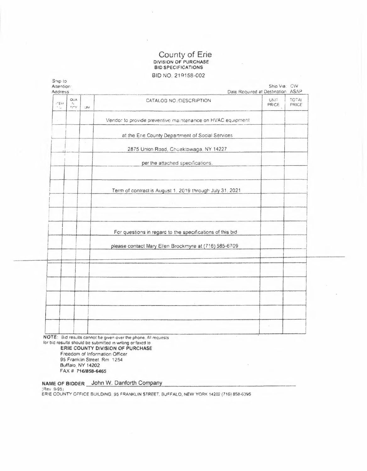# County of Erie<br>DIVISION OF PURCHASE<br>BID SPECIFICATIONS BID NO. 219158-002

| $r^{\nu}$ Ent<br>۰., | <b>OUA</b><br>$\mathcal{D}_\alpha$<br>$\Gamma\{\overline{\Gamma}\gamma$ | M | CATALOG NO./DESCRIPTION                                    | <b>UNIT</b><br>PRICE | <b>TOTAL</b><br>PRICE |
|----------------------|-------------------------------------------------------------------------|---|------------------------------------------------------------|----------------------|-----------------------|
|                      |                                                                         |   | Vendor to provide preventive maintenance on HVAC equipment |                      |                       |
|                      |                                                                         |   | at the Erie County Department of Social Services           |                      |                       |
|                      |                                                                         |   | 2875 Union Road, Cheektowaga, NY 14227                     |                      |                       |
|                      |                                                                         |   | per the attached specifications.                           |                      |                       |
|                      |                                                                         |   |                                                            |                      |                       |
|                      |                                                                         |   | Term of contract is August 1, 2019 through July 31, 2021   |                      |                       |
|                      |                                                                         |   |                                                            |                      |                       |
|                      |                                                                         |   | For questions in regard to the specifications of this bid  |                      |                       |
|                      |                                                                         |   | please contact Mary Ellen Brockmyre at (716) 585-6709      |                      |                       |
|                      |                                                                         |   |                                                            |                      |                       |
|                      |                                                                         |   |                                                            |                      |                       |
|                      |                                                                         |   |                                                            |                      |                       |
|                      |                                                                         |   |                                                            |                      |                       |
|                      |                                                                         |   |                                                            |                      |                       |

N for bid results should be submitted in writing or faxed to<br>ERIE COUNTY DIVISION OF PURCHASE Freedom of Information Officer 95 Franklin Street, Rm 1254

Buffalo, NY 14202 FAX # 716/858-6465

NAME OF BIDDER John W. Danforth Company

(Rev 9/95)<br>ERIE COUNTY OFFICE BUILDING, 95 FRANKLIN STREET, BUFFALO, NEW YORK 14202 (716) 858-6395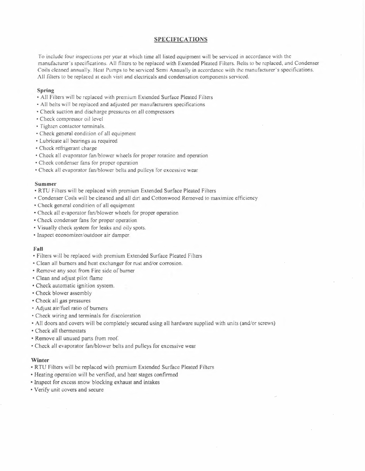### **SPECIFICATIONS**

To include four inspections per year at which time all listed equipment will be serviced in accordance with the manufacturer's specifications. All filters to be replaced with Extended Pleated Filters. Belts ro be replaced, and Condenser Coils cleaned annually. Heat Pumps to be serviced Semi Annually in accordance with the manufacturer's specifications. All filters to be replaced at each visit and electricals and condensation components serviced.

### **Spring**

- All Filters will be replaced with premium Extended Surface Pleated Filters
- All belts will be replaced and adjusted per manufacturers specifications
- Check suction and discharge pressures on all compressors
- Check compressor oil level
- Tighten contactor terminals.
- Check general condition of all equipment
- Lubricate all bearings as required
- Check refrigerant charge
- Check all evaporator fan/blower wheels for proper rotation and operation
- Check condenser fans for proper operation
- Check all evaporator fan/blower belts and pulleys for excessive wear

### **Summer**

- RTU Filters will be replaced with premium Extended Surface Pleated Filters
- Condenser Coils will be cleaned and all dirt and Cottonwood Removed to maximize efficiency
- Check general condition of all equipment
- Check all evaporator fan/blower wheels for proper operation
- Check condenser fans for proper operation
- Visually check system for leaks and oily spots.
- Inspect economizer/outdoor air damper.

### **Fall**

- Filters will be replaced with premium Extended Surface Pleated Filters
- Clean all burners and heat exchanger for rust and/or corrosion.
- Remove any soot from Fire side of burner
- Clean and adjust pilot flame
- Check automatic ignition system.
- Check blower assembly
- Check all gas pressures
- Adjust air/fuel ratio of burners
- Check wiring and terminals for discoloration
- All doors and covers will be completely secured using all hardware supplied with units (and/or screws)
- Check all thermostats
- Remove all unused parts from roof
- Check all evaporator fan/blower belts and pulleys for excessive wear

### **Winter**

- RTU Filters will be replaced with premium Extended Surface Pleated Filters
- Heating operation will be verified, and heat stages confirmed
- Inspect for excess snow blocking exhaust and intakes
- Verify unit covers and secure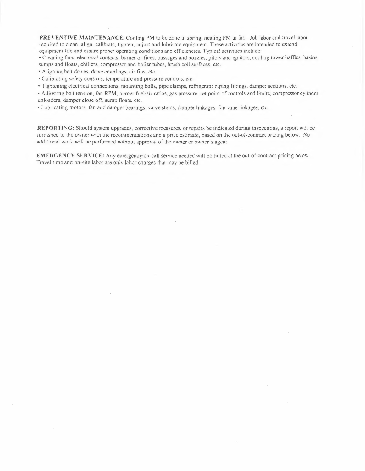**PREVENTIVE MAINTENANCE:** Cooling PM lo be donc in spring, heating PM in fall. Job labor and travel labor required to clean, align, calibrate, tighten, adjust and lubricate equipment. These activities are intended to extend equipment lile and assure proper operating conditions and efficiencies. Typical activities include:

• Cleaning fans, electrical contacts, burner orifices, passages and nozzles, pilots and ignitors, cooling tower baffles, basins, sumps and floats, chillers, compressor and boiler tubes, brush coil surfaces, etc.

• Aligning belt drives, drive couplings, air fins, etc.

• Calibrating safety controls, temperature and pressure controls, etc.

• Tightening electrical connections, mounting bolts, pipe clamps, refrigerant piping fittings, damper sections, etc.

• Adjusting belt tension, fan RPM, burner fuel/air ratios, gas pressure. set point of controls and limits, compressor cylinder unloaders. damper close off. sump floats, etc.

• Lubricating motors, fan and damper bearings, valve stems, damper linkages, fan vane linkages, cte.

**REPORTING:** Should system upgrades, corrective measures. or repairs be indicated during inspections, a report will be furnished to the owner with the recommendations and a price estimate, based on the out-of-contract pricing below. No additional work will be performed without approval of the owner or owner's agent.

**EMERGENCY SERVICE:** Any emergency/on-call service needed will be billed at the out-of-contract pricing below. Travel time and on-site labor are only labor charges that may be billed.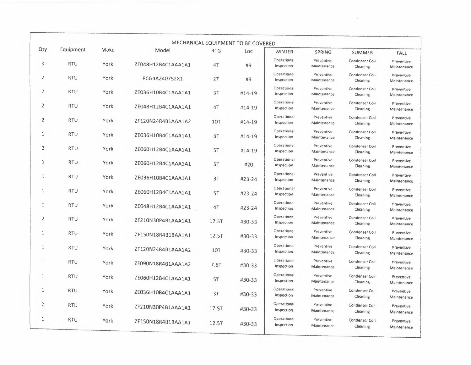|                |            |      |                    |            | MECHANICAL EQUIPMENT TO BE COVERED |                           |                           |                                        |                                          |
|----------------|------------|------|--------------------|------------|------------------------------------|---------------------------|---------------------------|----------------------------------------|------------------------------------------|
| Qty            | Equipment  | Make | Model              | <b>RTG</b> | Loc                                | <b>WINTER</b>             | <b>SPRING</b>             | SUMMER                                 | <b>FALL</b>                              |
| 3              | <b>RTU</b> | York | ZE048H12B4C1AAA1A1 | 4T         | #9                                 | Operational<br>Inspection | Preventive<br>Maintenance | Condenser Coil<br>Cleaning             | Preventive<br>Maintenance                |
| $\overline{2}$ | <b>RTU</b> | York | PCG4A240752X1      | 2T         | #9                                 | Operational<br>Inspection | Preventive<br>Maintenance | Condenser Coil<br>Cleaning             | Preventive<br>Maintenance                |
| $\overline{2}$ | RTU        | York | ZE036H10B4C1AAA1A1 | 31         | #14-19                             | Operational<br>Inspection | Preventive<br>Maintenance | Condenser Coll<br>Cleaning             | Preventive<br>Maintenance                |
| $\overline{2}$ | <b>RTU</b> | York | ZE048H12B4C1AAA1A1 | 4T         | #14-19                             | Operational<br>Inspection | Preventive<br>Maintenance | Condenser Coil<br>Cleaning             | Preventive<br>Maintenance                |
| $\overline{2}$ | <b>RTU</b> | York | ZF120N24R4B1AAA1A2 | <b>10T</b> | #14-19                             | Operational<br>Inspection | Preventive<br>Maintenance | Condenser Coil<br>Cleaning             | Preventive<br>Maintenance                |
| 1              | <b>RTU</b> | York | ZE036H10B4C1AAA1A1 | 3T         | #14-19                             | Operational<br>Inspection | Preventive<br>Maintenance | Condenser Coil<br>Cleaning             | Preventive<br>Maintenance                |
| $\overline{2}$ | <b>RTU</b> | York | ZE060H12B4C1AAA1A1 | 5T         | #14-19                             | Operational<br>Inspection | Preventive<br>Maintenance | Condenser Coil<br>Cleaning             | Preventive<br>Maintenance                |
| 1              | <b>RTU</b> | York | ZE060H12B4C1AAA1A1 | 5T         | #20                                | Operational<br>Inspection | Preventive<br>Maintenance | Condenser Coil<br>Cleaning             | Preventive<br>Maintenance                |
| 1              | <b>RTU</b> | York | ZE036H10B4C1AAA1A1 | 3T         | $#23 - 24$                         | Operational<br>Inspection | Preventive<br>Maintenance | Condenser Coil<br>Cleaning             | Preventive<br>Maintenance                |
| 1              | <b>RTU</b> | York | ZE060H12B4C1AAA1A1 | 5T         | #23-24                             | Operational<br>Inspection | Preventive<br>Maintenance | Condenser Coil<br>Cleaning             | Preventive<br>Maintenance                |
| 1              | <b>RTU</b> | York | ZE048H12B4C1AAA1A1 | 4T         | #23-24                             | Operational<br>Inspection | Preventive<br>Maintenance | Condenser Cail<br>Cleaning             | Preventive<br>Maintenance                |
| 2              | <b>RTU</b> | York | ZF210N30P4B1AAA1A1 | 17.5T      | #30-33                             | Operational<br>Inspection | Preventive<br>Maintenance | Condenser Coil<br>Cleaning             | Preventive<br>Maintenance                |
| 1              | <b>RTU</b> | York | ZF150N18R4B1BAA1A1 | 12.5T      | #30-33                             | Operational<br>Inspection | Preventive<br>Maintenance | Condenser Coil<br>Cleaning             | Preventive<br>Maintenance                |
| $\mathbf{1}$   | <b>RTU</b> | York | ZF120N24R4B1AAA1A2 | 107        | #30-33                             | Operational<br>Inspection | Preventive<br>Maintenance | Condenser Coil<br>Cleaning             | Preventive<br>Maintenance                |
| $\mathbf{1}$   | <b>RTU</b> | York | ZF090N18R4B1AAA1A2 | 7.5T       | #30-33                             | Operational<br>Inspection | Preventive<br>Maintenance | Condenser Coil<br>Cleaning             | Preventive<br>Maintenance                |
| 1              | <b>RTU</b> | York | ZE060H12B4C1AAA1A1 | 5T         | #30-33                             | Operational<br>Inspection | Preventive<br>Maintenance | Condenser Coil<br>Cleaning             | Preventive                               |
| $\mathbf{1}$   | <b>RTU</b> | York | ZE036H10B4C1AAA1A1 | 3T         | #30-33                             | Operational<br>Inspection | Preventive<br>Maintenance | Condenser Coil<br>Cleaning             | Maintenance<br>Preventive                |
| 2              | <b>RTU</b> | York | ZF210N30P4B1AAA1A1 | 17.5T      | #30-33                             | Operational<br>Inspection | Preventive<br>Maintenance | Condenser Coil                         | Maintenance<br>Preventive                |
| $\mathbf{1}$   | <b>RTU</b> | York | ZF150N18R4B1BAA1A1 | 12.5T      | #30-33                             | Operational<br>Inspection | Preventive<br>Maintenance | Cleaning<br>Condenser Coil<br>Cleaning | Maintenance<br>Preventive<br>Maintenance |

 $\sim 10^6$ 

 $\epsilon$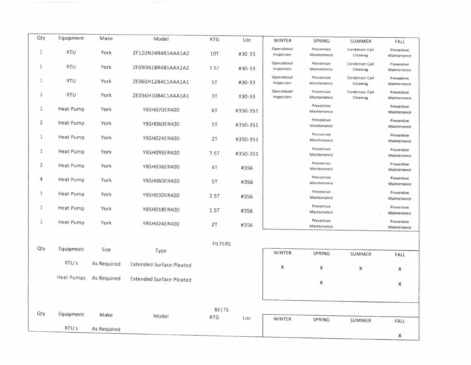| Qty            | Equipment         | Make        | Model                           | <b>RTG</b>     | Loc      | <b>WINTER</b>             | SPRING                    | <b>SUMMER</b>              | FALL                      |
|----------------|-------------------|-------------|---------------------------------|----------------|----------|---------------------------|---------------------------|----------------------------|---------------------------|
| 1              | <b>RTU</b>        | York        | ZF120N24R4B1AAA1A2              | <b>10T</b>     | #30-33   | Operational<br>Inspection | Preventive<br>Maintenance | Condenser Coil<br>Cleaning | Preventive<br>Maintenance |
| $\mathbf{1}$   | <b>RTU</b>        | York        | ZF090N18R4B1AAA1A2              | 7.5T           | #30-33   | Operational<br>Inspection | Preventive<br>Maintenance | Condenser Coil<br>Cleaning | Preventive<br>Maintenance |
| 1              | <b>RTU</b>        | York        | ZE060H12B4C1AAA1A1              | 5T             | #30-33   | Operational<br>Inspection | Preventive<br>Maintenance | Condenser Coll<br>Cleaning | Preventive<br>Maintenance |
| 1              | <b>RTU</b>        | York        | ZE036H10B4C1AAA1A1              | 3T             | #30-33   | Operational<br>Inspection | Preventive<br>Maintenance | Condenser Coil<br>Cleaning | Preventive<br>Maintenance |
| $\mathbf{1}$   | <b>Heat Pump</b>  | York        | YBSH070ER400                    | 6T             | #350-351 |                           | Preventive<br>Maintenance |                            | Preventive<br>Maintenance |
| $\overline{2}$ | <b>Heat Pump</b>  | York        | YBSH060ER400                    | 5T             | #350-351 |                           | Preventive<br>Maintenance |                            | Preventive<br>Maintenance |
| $\mathbf{1}$   | <b>Heat Pump</b>  | York        | YBSH024ER400                    | 2T             | #350-351 |                           | Preventive<br>Maintenance |                            | Preventive<br>Maintenance |
| $\mathbf 1$    | <b>Heat Pump</b>  | York        | YBSH095ER400                    | 7.5T           | #350-351 |                           | Preventive<br>Maintenance |                            | Preventive<br>Maintenance |
| $\mathbf{2}$   | <b>Heat Pump</b>  | York        | YBSH036ER400                    | 4T             | #356     |                           | Preventive<br>Maintenance |                            | Preventive<br>Maintenance |
| 4              | <b>Heat Pump</b>  | York        | YBSH060ER400                    | 5T             | #356     |                           | Preventive<br>Maintenance |                            | Preventive<br>Maintenance |
| $1\,$          | <b>Heat Pump</b>  | York        | YBSH030ER400                    | 2.5T           | #356     |                           | Preventive<br>Maintenance |                            | Preventive<br>Maintenance |
| $\mathbf{1}$   | Heat Pump         | York        | YBSH018ER400                    | 1.5T           | #356     |                           | Preventive<br>Maintenance |                            | Preventive<br>Maintenance |
| $\mathbf 1$    | Heat Pump         | York        | YBSH024ER400                    | 2T             | #356     |                           | Preventive<br>Maintenance |                            | Preventive<br>Maintenance |
|                |                   |             |                                 |                |          |                           |                           |                            |                           |
| Qty            | Equipment         | Size        | Type                            | <b>FILTERS</b> |          | WINTER                    | SPRING                    | <b>SUMMER</b>              | FALL                      |
|                | RTU's             | As Required | <b>Extended Surface Pleated</b> |                |          | X                         | X                         | $\pmb{\times}$             | X                         |
|                | <b>Heat Pumps</b> | As Required | <b>Extended Surface Pleated</b> |                |          |                           | X                         |                            | $\mathsf{X}$              |
|                |                   |             |                                 |                |          |                           |                           |                            |                           |
|                |                   |             |                                 | <b>BELTS</b>   |          |                           |                           |                            |                           |
| Qty            | Equipment         | Make        | Model                           | <b>RTG</b>     | Loc      | <b>WINTER</b>             | SPRING                    | SUMMER                     | FALL                      |
|                | RTU's             | As Required |                                 |                |          |                           |                           |                            | $\chi$                    |

 $\sim$